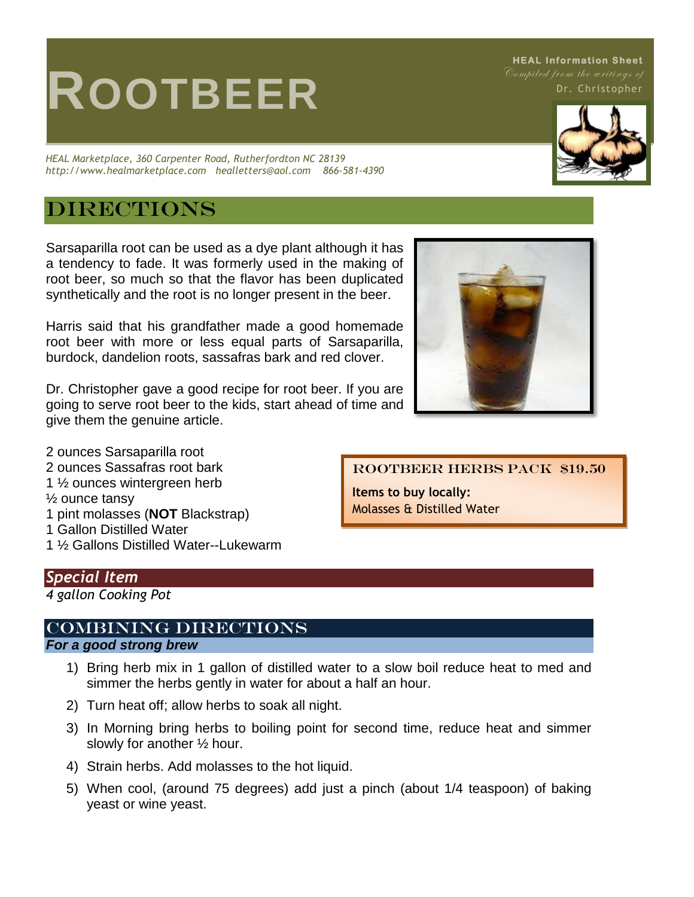# **ROOTBEER**

*HEAL Marketplace, 360 Carpenter Road, Rutherfordton NC 28139 http://www.healmarketplace.com healletters@aol.com 866-581-4390*

## **DIRECTIONS**

Sarsaparilla root can be used as a dye plant although it has a tendency to fade. It was formerly used in the making of root beer, so much so that the flavor has been duplicated synthetically and the root is no longer present in the beer.

Harris said that his grandfather made a good homemade root beer with more or less equal parts of Sarsaparilla, burdock, dandelion roots, sassafras bark and red clover.

Dr. Christopher gave a good recipe for root beer. If you are going to serve root beer to the kids, start ahead of time and give them the genuine article.

2 ounces Sarsaparilla root 2 ounces Sassafras root bark 1 ½ ounces wintergreen herb ½ ounce tansy 1 pint molasses (**NOT** Blackstrap) 1 Gallon Distilled Water

1 ½ Gallons Distilled Water--Lukewarm

#### *Special Item*

*4 gallon Cooking Pot* 

### Combining Directions

#### *For a good strong brew*

- 1) Bring herb mix in 1 gallon of distilled water to a slow boil reduce heat to med and simmer the herbs gently in water for about a half an hour.
- 2) Turn heat off; allow herbs to soak all night.
- 3) In Morning bring herbs to boiling point for second time, reduce heat and simmer slowly for another ½ hour.
- 4) Strain herbs. Add molasses to the hot liquid.
- 5) When cool, (around 75 degrees) add just a pinch (about 1/4 teaspoon) of baking yeast or wine yeast.

Rootbeer Herbs Pack \$19.50

**Items to buy locally:** Molasses & Distilled Water



Dr. Christopher

**HEAL Information Sheet**